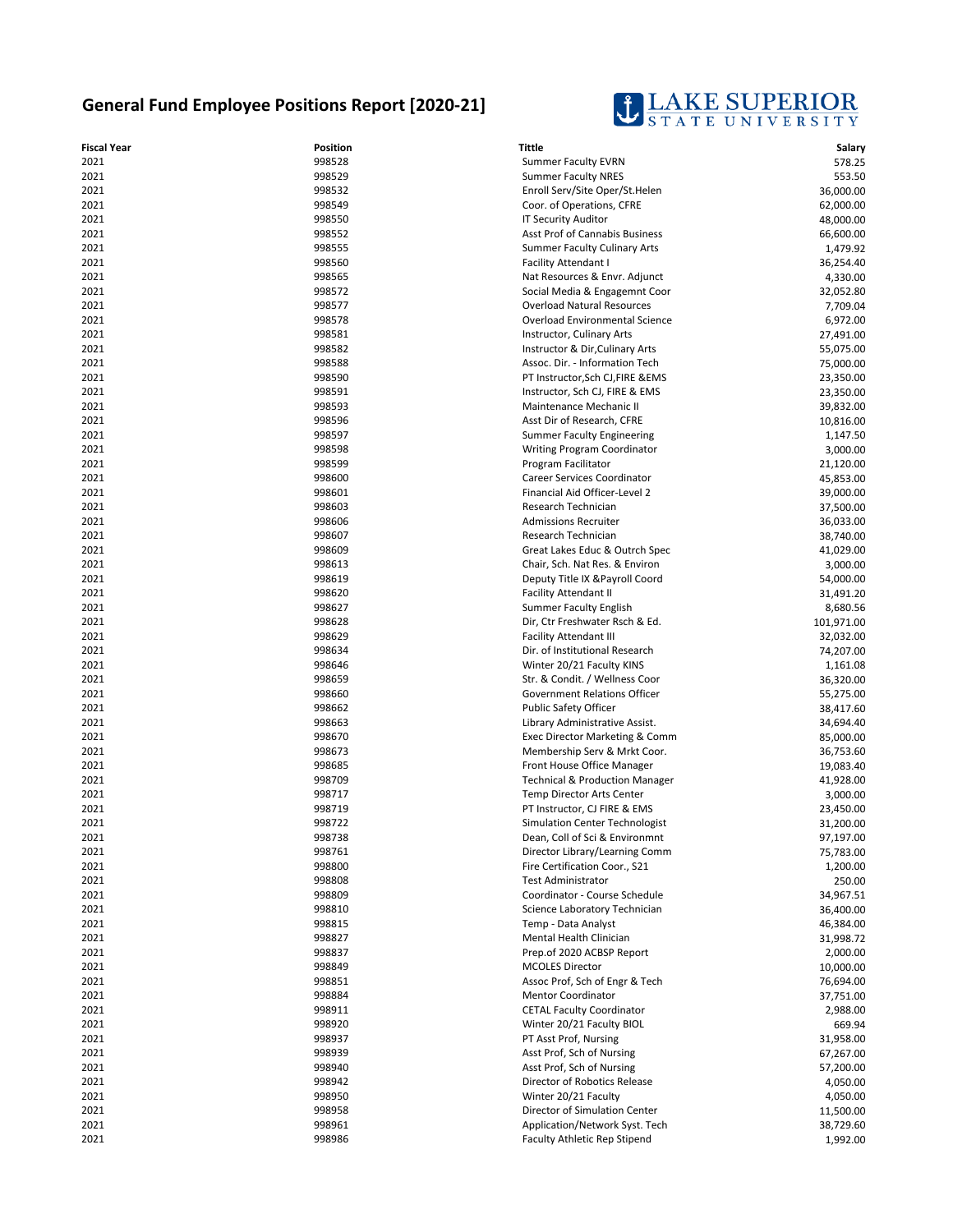## **General Fund Employee Positions Report [2020-21]**



| <b>Fiscal Year</b> | Position         | <b>Tittle</b>                                                   | Salary                 |
|--------------------|------------------|-----------------------------------------------------------------|------------------------|
| 2021               | 998528           | <b>Summer Faculty EVRN</b>                                      | 578.25                 |
| 2021               | 998529           | <b>Summer Faculty NRES</b>                                      | 553.50                 |
| 2021               | 998532           | Enroll Serv/Site Oper/St.Helen                                  | 36,000.00              |
| 2021               | 998549           | Coor. of Operations, CFRE                                       | 62,000.00              |
| 2021               | 998550           | <b>IT Security Auditor</b>                                      | 48,000.00              |
| 2021               | 998552           | <b>Asst Prof of Cannabis Business</b>                           | 66,600.00              |
| 2021               | 998555           | <b>Summer Faculty Culinary Arts</b>                             | 1,479.92               |
| 2021               | 998560           | <b>Facility Attendant I</b>                                     | 36,254.40              |
| 2021               | 998565           | Nat Resources & Envr. Adjunct                                   | 4,330.00               |
| 2021               | 998572           | Social Media & Engagemnt Coor                                   | 32,052.80              |
| 2021               | 998577           | <b>Overload Natural Resources</b>                               | 7,709.04               |
| 2021               | 998578           | Overload Environmental Science                                  | 6,972.00               |
| 2021               | 998581           | Instructor, Culinary Arts                                       | 27,491.00              |
| 2021               | 998582           | Instructor & Dir, Culinary Arts                                 | 55,075.00              |
| 2021               | 998588           | Assoc. Dir. - Information Tech                                  | 75,000.00              |
| 2021               | 998590           | PT Instructor, Sch CJ, FIRE & EMS                               | 23,350.00              |
| 2021               | 998591           | Instructor, Sch CJ, FIRE & EMS                                  | 23,350.00              |
| 2021               | 998593           | Maintenance Mechanic II                                         | 39,832.00              |
| 2021               | 998596           | Asst Dir of Research, CFRE                                      | 10,816.00              |
| 2021               | 998597           | <b>Summer Faculty Engineering</b>                               | 1,147.50               |
| 2021               | 998598           | <b>Writing Program Coordinator</b>                              | 3,000.00               |
| 2021               | 998599           | Program Facilitator                                             | 21,120.00              |
| 2021               | 998600           | Career Services Coordinator                                     | 45,853.00              |
| 2021               | 998601           | Financial Aid Officer-Level 2                                   | 39,000.00              |
| 2021               | 998603           | Research Technician                                             | 37,500.00              |
| 2021               | 998606           | <b>Admissions Recruiter</b>                                     | 36,033.00<br>38,740.00 |
| 2021<br>2021       | 998607<br>998609 | Research Technician<br>Great Lakes Educ & Outrch Spec           |                        |
| 2021               | 998613           | Chair, Sch. Nat Res. & Environ                                  | 41,029.00<br>3.000.00  |
| 2021               | 998619           | Deputy Title IX & Payroll Coord                                 | 54,000.00              |
| 2021               | 998620           | <b>Facility Attendant II</b>                                    | 31,491.20              |
| 2021               | 998627           | <b>Summer Faculty English</b>                                   | 8,680.56               |
| 2021               | 998628           | Dir, Ctr Freshwater Rsch & Ed.                                  | 101,971.00             |
| 2021               | 998629           | <b>Facility Attendant III</b>                                   | 32,032.00              |
| 2021               | 998634           | Dir. of Institutional Research                                  | 74,207.00              |
| 2021               | 998646           | Winter 20/21 Faculty KINS                                       | 1,161.08               |
| 2021               | 998659           | Str. & Condit. / Wellness Coor                                  | 36,320.00              |
| 2021               | 998660           | Government Relations Officer                                    | 55,275.00              |
| 2021               | 998662           | <b>Public Safety Officer</b>                                    | 38,417.60              |
| 2021               | 998663           | Library Administrative Assist.                                  | 34,694.40              |
| 2021               | 998670           | Exec Director Marketing & Comm                                  | 85,000.00              |
| 2021               | 998673           | Membership Serv & Mrkt Coor.                                    | 36,753.60              |
| 2021               | 998685           | Front House Office Manager                                      | 19,083.40              |
| 2021               | 998709           | <b>Technical &amp; Production Manager</b>                       | 41,928.00              |
| 2021               | 998717           | Temp Director Arts Center                                       | 3,000.00               |
| 2021               | 998719           | PT Instructor, CJ FIRE & EMS                                    | 23,450.00              |
| 2021               | 998722           | Simulation Center Technologist                                  | 31,200.00              |
| 2021               | 998738           | Dean, Coll of Sci & Environmnt                                  | 97,197.00              |
| 2021<br>2021       | 998761<br>998800 | Director Library/Learning Comm<br>Fire Certification Coor., S21 | 75,783.00              |
| 2021               | 998808           | <b>Test Administrator</b>                                       | 1,200.00<br>250.00     |
| 2021               | 998809           | Coordinator - Course Schedule                                   | 34,967.51              |
| 2021               | 998810           | Science Laboratory Technician                                   | 36,400.00              |
| 2021               | 998815           | Temp - Data Analyst                                             | 46,384.00              |
| 2021               | 998827           | Mental Health Clinician                                         | 31,998.72              |
| 2021               | 998837           | Prep.of 2020 ACBSP Report                                       | 2,000.00               |
| 2021               | 998849           | <b>MCOLES Director</b>                                          | 10,000.00              |
| 2021               | 998851           | Assoc Prof, Sch of Engr & Tech                                  | 76,694.00              |
| 2021               | 998884           | Mentor Coordinator                                              | 37,751.00              |
| 2021               | 998911           | <b>CETAL Faculty Coordinator</b>                                | 2,988.00               |
| 2021               | 998920           | Winter 20/21 Faculty BIOL                                       | 669.94                 |
| 2021               | 998937           | PT Asst Prof, Nursing                                           | 31,958.00              |
| 2021               | 998939           | Asst Prof, Sch of Nursing                                       | 67,267.00              |
| 2021               | 998940           | Asst Prof, Sch of Nursing                                       | 57,200.00              |
| 2021               | 998942           | Director of Robotics Release                                    | 4,050.00               |
| 2021               | 998950           | Winter 20/21 Faculty                                            | 4,050.00               |
| 2021               | 998958           | Director of Simulation Center                                   | 11,500.00              |
| 2021               | 998961           | Application/Network Syst. Tech                                  | 38,729.60              |
| 2021               | 998986           | <b>Faculty Athletic Rep Stipend</b>                             | 1,992.00               |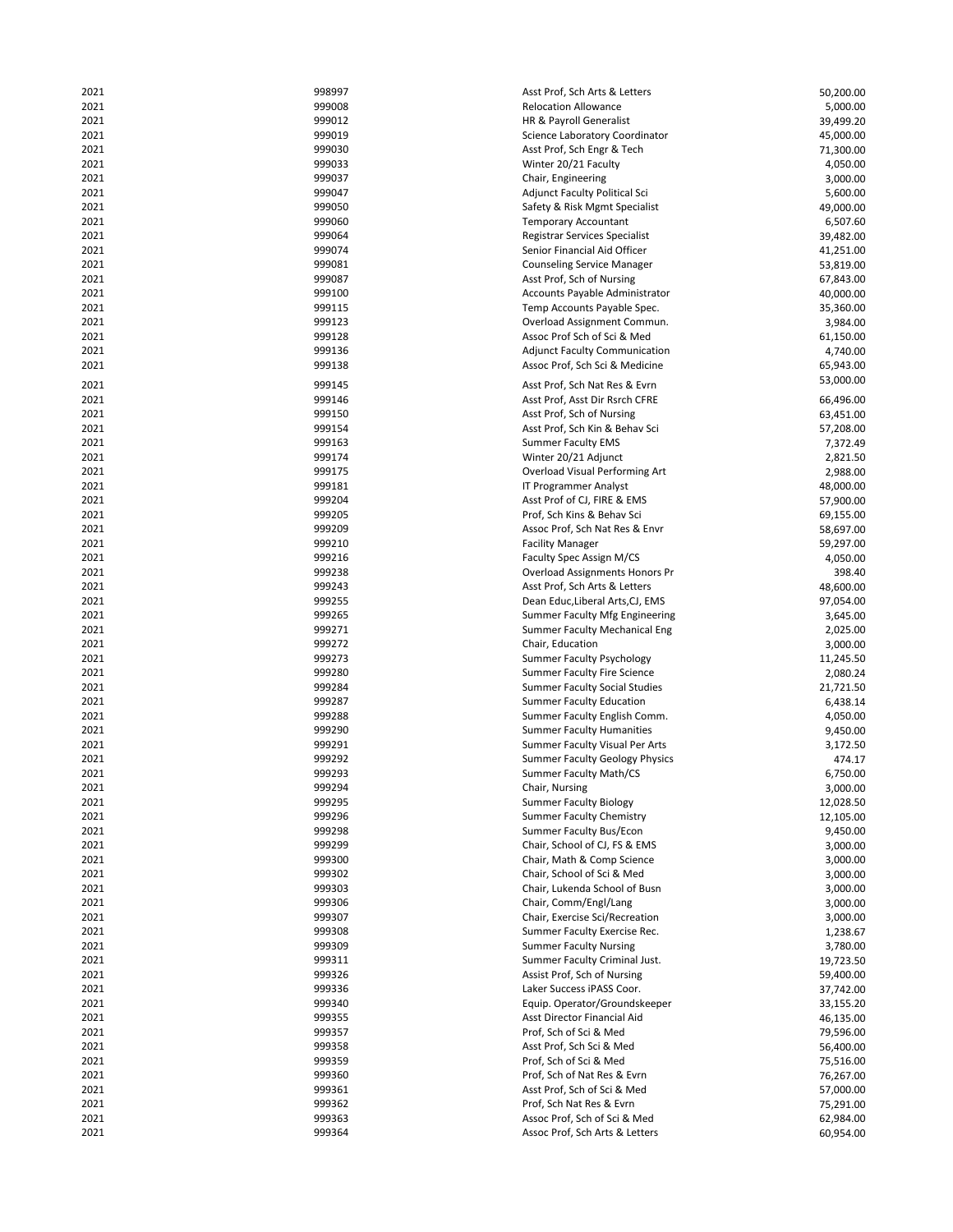| 2021         | 998997           | Asst Prof, Sch Arts & Letters                                  | 50,200.00              |
|--------------|------------------|----------------------------------------------------------------|------------------------|
| 2021         | 999008           | <b>Relocation Allowance</b>                                    | 5,000.00               |
| 2021         | 999012           | HR & Payroll Generalist                                        | 39,499.20              |
| 2021         | 999019           | Science Laboratory Coordinator                                 | 45,000.00              |
| 2021         | 999030           | Asst Prof, Sch Engr & Tech                                     | 71,300.00              |
| 2021         | 999033           | Winter 20/21 Faculty                                           | 4,050.00               |
| 2021         | 999037           | Chair, Engineering                                             | 3,000.00               |
| 2021         | 999047           | Adjunct Faculty Political Sci                                  | 5,600.00               |
|              | 999050           |                                                                |                        |
| 2021         |                  | Safety & Risk Mgmt Specialist                                  | 49,000.00              |
| 2021         | 999060           | <b>Temporary Accountant</b>                                    | 6,507.60               |
| 2021         | 999064           | Registrar Services Specialist                                  | 39,482.00              |
| 2021         | 999074           | Senior Financial Aid Officer                                   | 41,251.00              |
| 2021         | 999081           | <b>Counseling Service Manager</b>                              | 53,819.00              |
| 2021         | 999087           | Asst Prof, Sch of Nursing                                      | 67,843.00              |
| 2021         | 999100           | Accounts Payable Administrator                                 | 40,000.00              |
| 2021         | 999115           | Temp Accounts Payable Spec.                                    | 35,360.00              |
| 2021         | 999123           | Overload Assignment Commun.                                    | 3,984.00               |
| 2021         | 999128           | Assoc Prof Sch of Sci & Med                                    | 61,150.00              |
| 2021         | 999136           | <b>Adjunct Faculty Communication</b>                           | 4,740.00               |
| 2021         | 999138           | Assoc Prof, Sch Sci & Medicine                                 | 65,943.00              |
|              |                  |                                                                | 53,000.00              |
| 2021         | 999145           | Asst Prof, Sch Nat Res & Evrn                                  |                        |
| 2021         | 999146           | Asst Prof, Asst Dir Rsrch CFRE                                 | 66,496.00              |
| 2021         | 999150           | Asst Prof, Sch of Nursing                                      | 63,451.00              |
| 2021         | 999154           | Asst Prof, Sch Kin & Behav Sci                                 | 57,208.00              |
| 2021         | 999163           | <b>Summer Faculty EMS</b>                                      | 7,372.49               |
| 2021         | 999174           | Winter 20/21 Adjunct                                           | 2,821.50               |
| 2021         | 999175           | <b>Overload Visual Performing Art</b>                          | 2,988.00               |
| 2021         | 999181           | IT Programmer Analyst                                          | 48,000.00              |
| 2021         | 999204           | Asst Prof of CJ, FIRE & EMS                                    | 57,900.00              |
| 2021         | 999205           | Prof, Sch Kins & Behav Sci                                     | 69,155.00              |
| 2021         | 999209           |                                                                |                        |
|              |                  | Assoc Prof, Sch Nat Res & Envr                                 | 58,697.00              |
| 2021         | 999210           | <b>Facility Manager</b>                                        | 59,297.00              |
| 2021         | 999216           | Faculty Spec Assign M/CS                                       | 4,050.00               |
| 2021         | 999238           | Overload Assignments Honors Pr                                 | 398.40                 |
| 2021         | 999243           | Asst Prof, Sch Arts & Letters                                  | 48,600.00              |
| 2021         | 999255           | Dean Educ, Liberal Arts, CJ, EMS                               | 97,054.00              |
| 2021         | 999265           | Summer Faculty Mfg Engineering                                 | 3,645.00               |
| 2021         | 999271           | <b>Summer Faculty Mechanical Eng</b>                           | 2,025.00               |
| 2021         | 999272           | Chair, Education                                               | 3,000.00               |
| 2021         | 999273           | <b>Summer Faculty Psychology</b>                               | 11,245.50              |
| 2021         | 999280           | <b>Summer Faculty Fire Science</b>                             | 2,080.24               |
| 2021         | 999284           | <b>Summer Faculty Social Studies</b>                           | 21,721.50              |
| 2021         | 999287           | <b>Summer Faculty Education</b>                                | 6,438.14               |
| 2021         | 999288           | Summer Faculty English Comm.                                   | 4,050.00               |
|              | 999290           | <b>Summer Faculty Humanities</b>                               |                        |
| 2021         |                  |                                                                | 9,450.00               |
| 2021         | 999291           | Summer Faculty Visual Per Arts                                 | 3,172.50               |
| 2021         | 999292           | <b>Summer Faculty Geology Physics</b>                          | 474.17                 |
| 2021         | 999293           | Summer Faculty Math/CS                                         | 6,750.00               |
| 2021         | 999294           |                                                                |                        |
|              |                  | Chair, Nursing                                                 | 3,000.00               |
| 2021         | 999295           | <b>Summer Faculty Biology</b>                                  | 12,028.50              |
| 2021         | 999296           | <b>Summer Faculty Chemistry</b>                                | 12,105.00              |
| 2021         | 999298           | Summer Faculty Bus/Econ                                        | 9,450.00               |
| 2021         | 999299           | Chair, School of CJ, FS & EMS                                  | 3,000.00               |
|              |                  |                                                                |                        |
| 2021         | 999300           | Chair, Math & Comp Science                                     | 3,000.00               |
| 2021         | 999302           | Chair, School of Sci & Med                                     | 3,000.00               |
| 2021         | 999303           | Chair, Lukenda School of Busn                                  | 3,000.00               |
| 2021         | 999306           | Chair, Comm/Engl/Lang                                          | 3,000.00               |
| 2021         | 999307           | Chair, Exercise Sci/Recreation                                 | 3,000.00               |
| 2021         | 999308           | Summer Faculty Exercise Rec.                                   | 1,238.67               |
| 2021         | 999309           | <b>Summer Faculty Nursing</b>                                  | 3,780.00               |
| 2021         | 999311           | Summer Faculty Criminal Just.                                  | 19,723.50              |
| 2021         | 999326           | Assist Prof, Sch of Nursing                                    | 59,400.00              |
| 2021         | 999336           | Laker Success iPASS Coor.                                      | 37,742.00              |
| 2021         | 999340           | Equip. Operator/Groundskeeper                                  | 33,155.20              |
| 2021         | 999355           | Asst Director Financial Aid                                    | 46,135.00              |
| 2021         | 999357           | Prof, Sch of Sci & Med                                         | 79,596.00              |
| 2021         | 999358           | Asst Prof, Sch Sci & Med                                       | 56,400.00              |
| 2021         | 999359           | Prof, Sch of Sci & Med                                         |                        |
|              |                  |                                                                | 75,516.00              |
| 2021         | 999360           | Prof, Sch of Nat Res & Evrn                                    | 76,267.00              |
| 2021         | 999361           | Asst Prof, Sch of Sci & Med                                    | 57,000.00              |
| 2021         | 999362           | Prof, Sch Nat Res & Evrn                                       | 75,291.00              |
| 2021<br>2021 | 999363<br>999364 | Assoc Prof, Sch of Sci & Med<br>Assoc Prof, Sch Arts & Letters | 62,984.00<br>60,954.00 |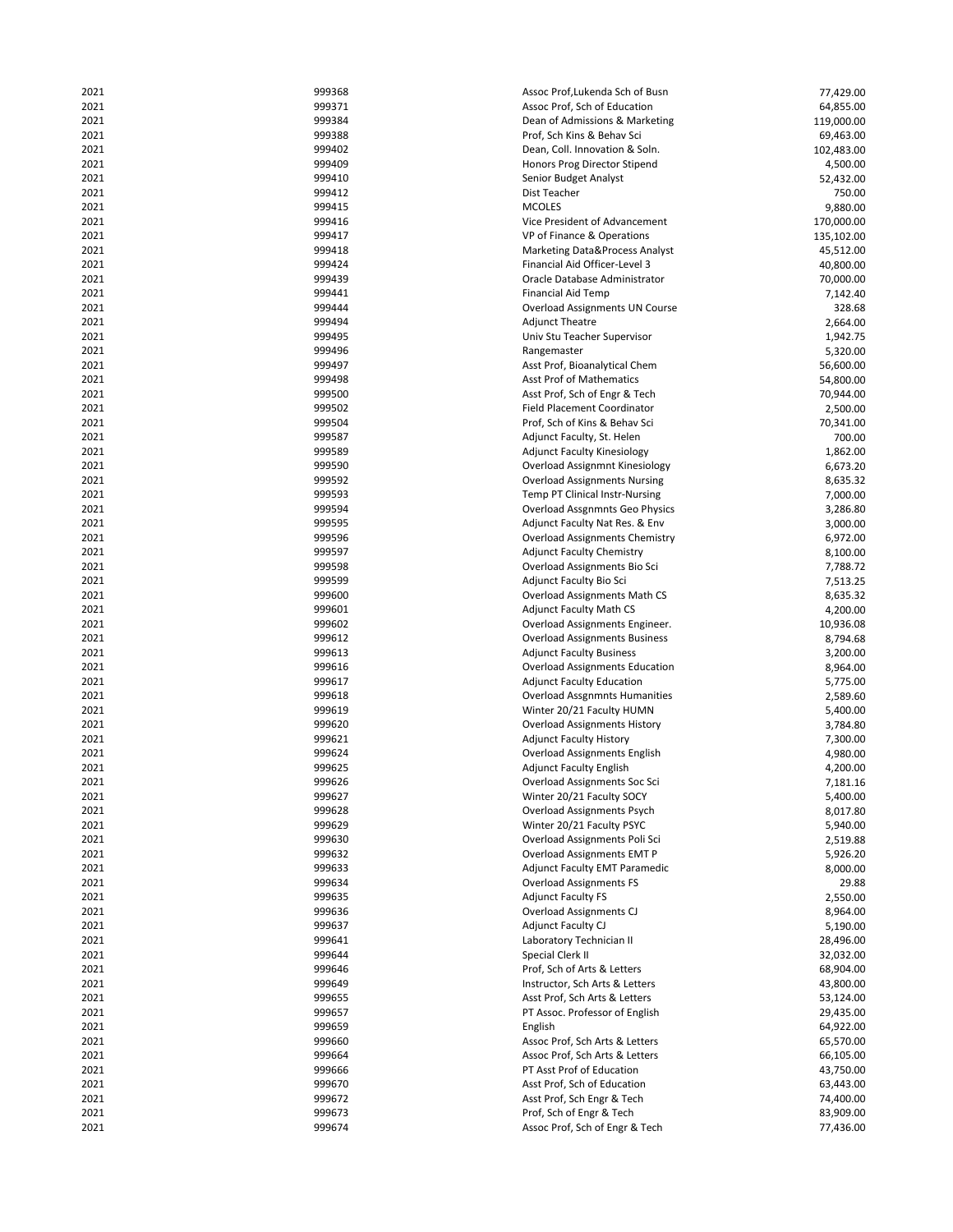| 2021 | 999368 | Assoc Prof, Lukenda Sch of Busn       | 77,429.00  |
|------|--------|---------------------------------------|------------|
| 2021 | 999371 | Assoc Prof, Sch of Education          | 64,855.00  |
| 2021 | 999384 | Dean of Admissions & Marketing        | 119,000.00 |
| 2021 | 999388 | Prof, Sch Kins & Behav Sci            | 69,463.00  |
| 2021 | 999402 | Dean, Coll. Innovation & Soln.        | 102,483.00 |
| 2021 | 999409 | Honors Prog Director Stipend          | 4,500.00   |
| 2021 | 999410 | Senior Budget Analyst                 | 52,432.00  |
| 2021 | 999412 | Dist Teacher                          | 750.00     |
| 2021 | 999415 | <b>MCOLES</b>                         | 9,880.00   |
| 2021 | 999416 | Vice President of Advancement         | 170,000.00 |
| 2021 | 999417 | VP of Finance & Operations            | 135,102.00 |
| 2021 | 999418 | Marketing Data&Process Analyst        | 45,512.00  |
| 2021 | 999424 | Financial Aid Officer-Level 3         | 40,800.00  |
| 2021 | 999439 | Oracle Database Administrator         | 70,000.00  |
| 2021 | 999441 | <b>Financial Aid Temp</b>             | 7,142.40   |
| 2021 | 999444 | Overload Assignments UN Course        | 328.68     |
| 2021 | 999494 | <b>Adjunct Theatre</b>                | 2,664.00   |
| 2021 | 999495 | Univ Stu Teacher Supervisor           | 1,942.75   |
| 2021 | 999496 | Rangemaster                           | 5,320.00   |
| 2021 | 999497 | Asst Prof, Bioanalytical Chem         | 56,600.00  |
| 2021 | 999498 | Asst Prof of Mathematics              | 54,800.00  |
| 2021 | 999500 | Asst Prof, Sch of Engr & Tech         | 70,944.00  |
| 2021 | 999502 | <b>Field Placement Coordinator</b>    | 2,500.00   |
| 2021 | 999504 | Prof, Sch of Kins & Behav Sci         | 70,341.00  |
| 2021 | 999587 | Adjunct Faculty, St. Helen            | 700.00     |
| 2021 | 999589 | <b>Adjunct Faculty Kinesiology</b>    | 1,862.00   |
| 2021 | 999590 | Overload Assignmnt Kinesiology        | 6,673.20   |
| 2021 | 999592 | <b>Overload Assignments Nursing</b>   | 8,635.32   |
| 2021 | 999593 | Temp PT Clinical Instr-Nursing        | 7,000.00   |
| 2021 | 999594 | Overload Assgnmnts Geo Physics        | 3,286.80   |
| 2021 | 999595 | Adjunct Faculty Nat Res. & Env        | 3,000.00   |
| 2021 | 999596 | Overload Assignments Chemistry        | 6,972.00   |
| 2021 | 999597 | <b>Adjunct Faculty Chemistry</b>      | 8,100.00   |
| 2021 | 999598 | Overload Assignments Bio Sci          | 7,788.72   |
| 2021 | 999599 | Adjunct Faculty Bio Sci               | 7,513.25   |
| 2021 | 999600 | <b>Overload Assignments Math CS</b>   | 8,635.32   |
| 2021 | 999601 | <b>Adjunct Faculty Math CS</b>        | 4,200.00   |
| 2021 | 999602 | Overload Assignments Engineer.        | 10,936.08  |
| 2021 | 999612 | <b>Overload Assignments Business</b>  | 8,794.68   |
| 2021 | 999613 | <b>Adjunct Faculty Business</b>       | 3,200.00   |
| 2021 | 999616 | <b>Overload Assignments Education</b> | 8,964.00   |
| 2021 | 999617 | <b>Adjunct Faculty Education</b>      | 5,775.00   |
| 2021 | 999618 | <b>Overload Assgnmnts Humanities</b>  | 2,589.60   |
| 2021 | 999619 | Winter 20/21 Faculty HUMN             | 5,400.00   |
| 2021 | 999620 | <b>Overload Assignments History</b>   | 3,784.80   |
| 2021 | 999621 | <b>Adjunct Faculty History</b>        | 7,300.00   |
| 2021 | 999624 | <b>Overload Assignments English</b>   | 4,980.00   |
| 2021 | 999625 | <b>Adjunct Faculty English</b>        | 4,200.00   |
| 2021 | 999626 | Overload Assignments Soc Sci          | 7,181.16   |
| 2021 | 999627 | Winter 20/21 Faculty SOCY             | 5,400.00   |
| 2021 | 999628 | <b>Overload Assignments Psych</b>     | 8,017.80   |
| 2021 | 999629 | Winter 20/21 Faculty PSYC             | 5,940.00   |
| 2021 | 999630 | Overload Assignments Poli Sci         | 2,519.88   |
| 2021 | 999632 | Overload Assignments EMT P            | 5,926.20   |
| 2021 | 999633 | <b>Adjunct Faculty EMT Paramedic</b>  | 8,000.00   |
| 2021 | 999634 | <b>Overload Assignments FS</b>        | 29.88      |
| 2021 | 999635 | <b>Adjunct Faculty FS</b>             | 2,550.00   |
| 2021 | 999636 | <b>Overload Assignments CJ</b>        | 8,964.00   |
| 2021 | 999637 | <b>Adjunct Faculty CJ</b>             | 5,190.00   |
| 2021 | 999641 | Laboratory Technician II              | 28,496.00  |
| 2021 | 999644 | Special Clerk II                      | 32,032.00  |
| 2021 | 999646 | Prof, Sch of Arts & Letters           | 68,904.00  |
| 2021 | 999649 | Instructor, Sch Arts & Letters        | 43,800.00  |
| 2021 | 999655 | Asst Prof, Sch Arts & Letters         | 53,124.00  |
| 2021 | 999657 | PT Assoc. Professor of English        | 29,435.00  |
| 2021 | 999659 | English                               | 64,922.00  |
| 2021 | 999660 | Assoc Prof, Sch Arts & Letters        | 65,570.00  |
| 2021 | 999664 | Assoc Prof, Sch Arts & Letters        | 66,105.00  |
| 2021 | 999666 | PT Asst Prof of Education             | 43,750.00  |
| 2021 | 999670 | Asst Prof, Sch of Education           | 63,443.00  |
| 2021 | 999672 | Asst Prof, Sch Engr & Tech            | 74,400.00  |
| 2021 | 999673 | Prof, Sch of Engr & Tech              | 83,909.00  |
| 2021 | 999674 | Assoc Prof, Sch of Engr & Tech        | 77,436.00  |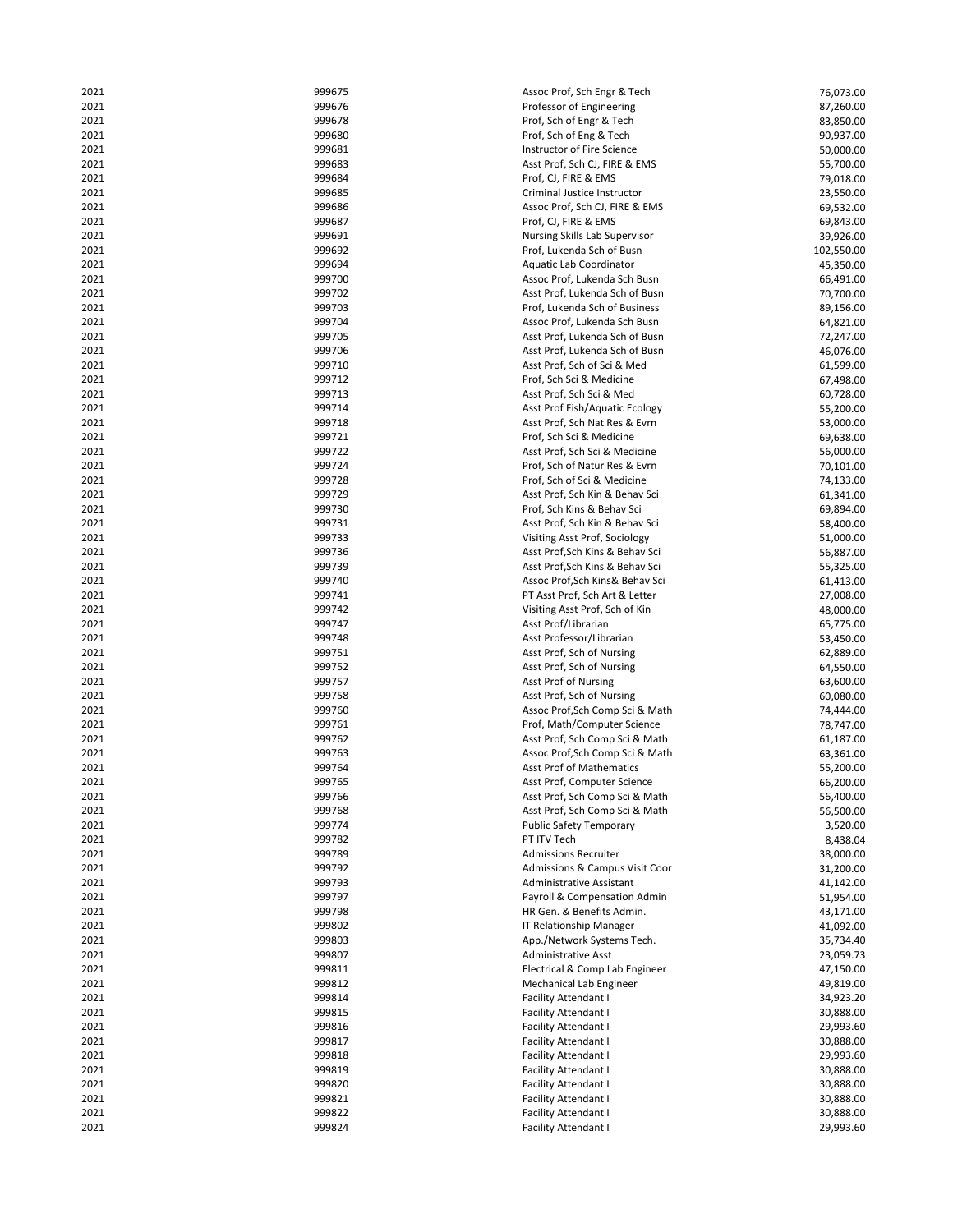| 2021         | 999675           | Assoc Prof, Sch Engr & Tech                              | 76,073.00              |
|--------------|------------------|----------------------------------------------------------|------------------------|
| 2021         | 999676           | Professor of Engineering                                 | 87,260.00              |
| 2021         | 999678           | Prof, Sch of Engr & Tech                                 | 83,850.00              |
| 2021         | 999680           | Prof, Sch of Eng & Tech                                  | 90,937.00              |
| 2021         | 999681           | Instructor of Fire Science                               | 50,000.00              |
| 2021         | 999683           | Asst Prof, Sch CJ, FIRE & EMS                            | 55,700.00              |
| 2021         | 999684           | Prof, CJ, FIRE & EMS                                     | 79,018.00              |
| 2021         | 999685           | Criminal Justice Instructor                              | 23,550.00              |
| 2021         | 999686           | Assoc Prof, Sch CJ, FIRE & EMS                           | 69,532.00              |
|              |                  |                                                          |                        |
| 2021         | 999687           | Prof, CJ, FIRE & EMS                                     | 69,843.00              |
| 2021         | 999691           | Nursing Skills Lab Supervisor                            | 39,926.00              |
| 2021         | 999692           | Prof, Lukenda Sch of Busn                                | 102,550.00             |
| 2021         | 999694           | Aquatic Lab Coordinator                                  | 45,350.00              |
| 2021         | 999700           | Assoc Prof, Lukenda Sch Busn                             | 66,491.00              |
| 2021         | 999702           | Asst Prof, Lukenda Sch of Busn                           | 70,700.00              |
| 2021         | 999703           | Prof, Lukenda Sch of Business                            | 89,156.00              |
| 2021         | 999704           | Assoc Prof, Lukenda Sch Busn                             | 64,821.00              |
| 2021         | 999705           | Asst Prof, Lukenda Sch of Busn                           | 72,247.00              |
| 2021         | 999706           | Asst Prof, Lukenda Sch of Busn                           | 46,076.00              |
| 2021         | 999710           | Asst Prof, Sch of Sci & Med                              | 61,599.00              |
| 2021         | 999712           | Prof, Sch Sci & Medicine                                 | 67,498.00              |
|              |                  |                                                          |                        |
| 2021         | 999713           | Asst Prof, Sch Sci & Med                                 | 60,728.00              |
| 2021         | 999714           | Asst Prof Fish/Aquatic Ecology                           | 55,200.00              |
| 2021         | 999718           | Asst Prof, Sch Nat Res & Evrn                            | 53,000.00              |
| 2021         | 999721           | Prof, Sch Sci & Medicine                                 | 69,638.00              |
| 2021         | 999722           | Asst Prof, Sch Sci & Medicine                            | 56,000.00              |
| 2021         | 999724           | Prof, Sch of Natur Res & Evrn                            | 70,101.00              |
| 2021         | 999728           | Prof, Sch of Sci & Medicine                              | 74,133.00              |
| 2021         | 999729           | Asst Prof, Sch Kin & Behav Sci                           | 61,341.00              |
| 2021         | 999730           | Prof, Sch Kins & Behav Sci                               | 69,894.00              |
| 2021         | 999731           | Asst Prof, Sch Kin & Behav Sci                           | 58,400.00              |
| 2021         | 999733           | Visiting Asst Prof, Sociology                            | 51,000.00              |
| 2021         | 999736           | Asst Prof, Sch Kins & Behav Sci                          | 56,887.00              |
| 2021         | 999739           | Asst Prof, Sch Kins & Behav Sci                          | 55,325.00              |
| 2021         | 999740           |                                                          |                        |
|              |                  | Assoc Prof, Sch Kins& Behav Sci                          | 61,413.00              |
| 2021         | 999741           | PT Asst Prof, Sch Art & Letter                           | 27,008.00              |
| 2021         | 999742           | Visiting Asst Prof, Sch of Kin                           | 48,000.00              |
| 2021         | 999747           | Asst Prof/Librarian                                      | 65,775.00              |
| 2021         | 999748           | Asst Professor/Librarian                                 | 53,450.00              |
| 2021         | 999751           | Asst Prof, Sch of Nursing                                | 62,889.00              |
| 2021         | 999752           | Asst Prof, Sch of Nursing                                | 64,550.00              |
| 2021         | 999757           | Asst Prof of Nursing                                     | 63,600.00              |
| 2021         | 999758           | Asst Prof, Sch of Nursing                                | 60,080.00              |
| 2021         | 999760           | Assoc Prof, Sch Comp Sci & Math                          | 74,444.00              |
| 2021         | 999761           | Prof, Math/Computer Science                              | 78,747.00              |
| 2021         | 999762           | Asst Prof, Sch Comp Sci & Math                           | 61,187.00              |
| 2021         | 999763           | Assoc Prof, Sch Comp Sci & Math                          |                        |
| 2021         | 999764           | <b>Asst Prof of Mathematics</b>                          | 63,361.00              |
|              |                  |                                                          | 55,200.00              |
| 2021         | 999765           | Asst Prof, Computer Science                              | 66,200.00              |
| 2021         | 999766           | Asst Prof, Sch Comp Sci & Math                           | 56,400.00              |
| 2021         | 999768           | Asst Prof, Sch Comp Sci & Math                           | 56,500.00              |
| 2021         | 999774           | <b>Public Safety Temporary</b>                           | 3,520.00               |
| 2021         | 999782           | PT ITV Tech                                              | 8,438.04               |
| 2021         | 999789           | <b>Admissions Recruiter</b>                              | 38,000.00              |
| 2021         | 999792           | Admissions & Campus Visit Coor                           | 31,200.00              |
| 2021         | 999793           | <b>Administrative Assistant</b>                          | 41,142.00              |
| 2021         | 999797           | Payroll & Compensation Admin                             | 51,954.00              |
| 2021         | 999798           | HR Gen. & Benefits Admin.                                | 43,171.00              |
| 2021         | 999802           | IT Relationship Manager                                  | 41,092.00              |
| 2021         | 999803           |                                                          |                        |
|              |                  | App./Network Systems Tech.<br><b>Administrative Asst</b> | 35,734.40              |
| 2021         | 999807           |                                                          | 23,059.73              |
| 2021         | 999811           | Electrical & Comp Lab Engineer                           | 47,150.00              |
| 2021         | 999812           | <b>Mechanical Lab Engineer</b>                           | 49,819.00              |
| 2021         | 999814           | <b>Facility Attendant I</b>                              | 34,923.20              |
| 2021         | 999815           | <b>Facility Attendant I</b>                              | 30,888.00              |
| 2021         | 999816           | <b>Facility Attendant I</b>                              | 29,993.60              |
| 2021         | 999817           | <b>Facility Attendant I</b>                              | 30,888.00              |
| 2021         | 999818           | <b>Facility Attendant I</b>                              | 29,993.60              |
| 2021         | 999819           | Facility Attendant I                                     | 30,888.00              |
| 2021         |                  | <b>Facility Attendant I</b>                              | 30,888.00              |
|              |                  |                                                          |                        |
|              | 999820           |                                                          |                        |
| 2021         | 999821           | <b>Facility Attendant I</b>                              | 30,888.00              |
| 2021<br>2021 | 999822<br>999824 | <b>Facility Attendant I</b><br>Facility Attendant I      | 30,888.00<br>29,993.60 |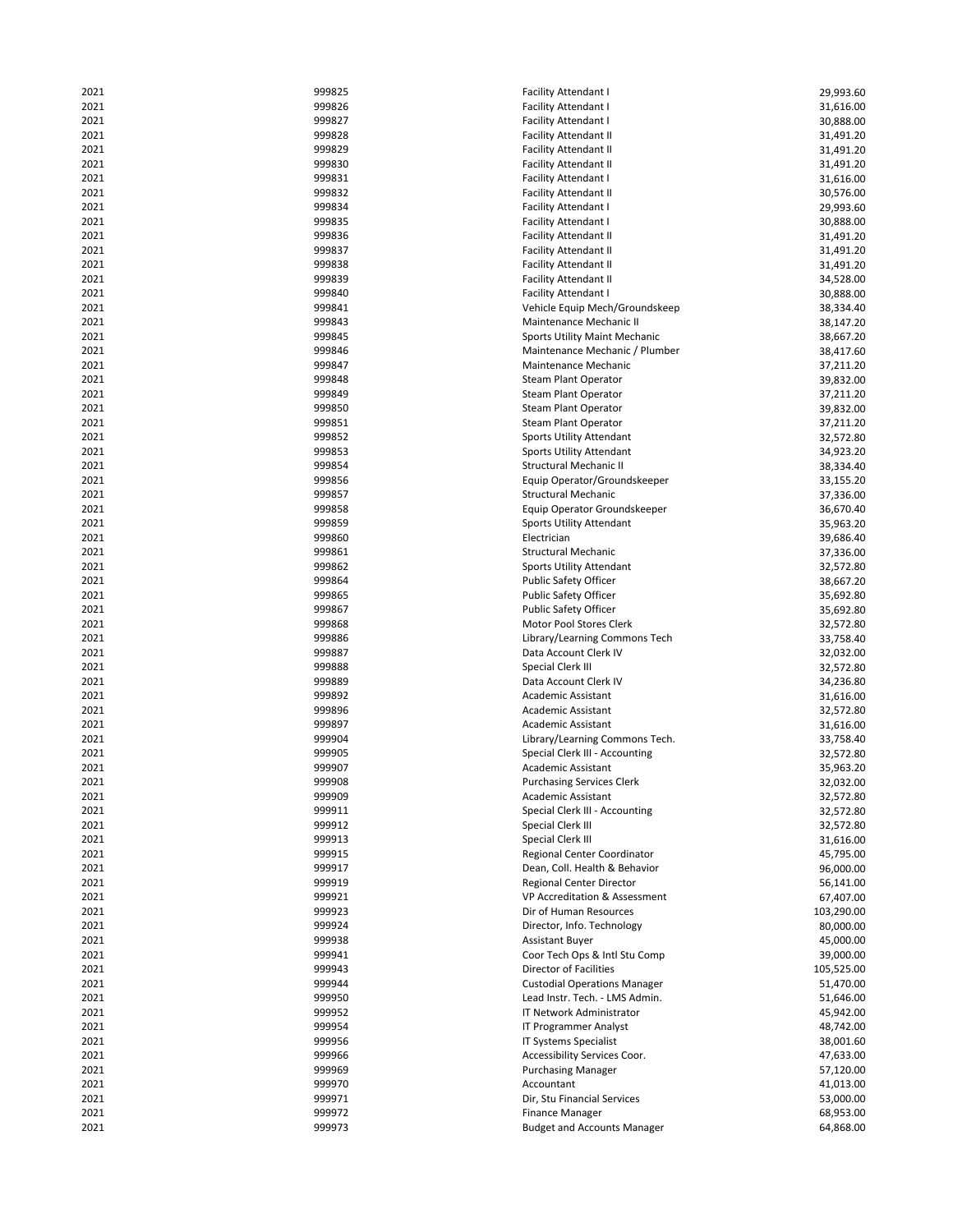| 2021 | 999825 | <b>Facility Attendant I</b>          | 29,993.60  |
|------|--------|--------------------------------------|------------|
| 2021 | 999826 | <b>Facility Attendant I</b>          | 31,616.00  |
| 2021 | 999827 | <b>Facility Attendant I</b>          | 30,888.00  |
| 2021 | 999828 | <b>Facility Attendant II</b>         | 31,491.20  |
| 2021 | 999829 | <b>Facility Attendant II</b>         | 31,491.20  |
| 2021 | 999830 | <b>Facility Attendant II</b>         | 31,491.20  |
| 2021 | 999831 | <b>Facility Attendant I</b>          | 31,616.00  |
| 2021 | 999832 | <b>Facility Attendant II</b>         | 30,576.00  |
| 2021 | 999834 |                                      | 29,993.60  |
| 2021 | 999835 | <b>Facility Attendant I</b>          |            |
|      |        | <b>Facility Attendant I</b>          | 30,888.00  |
| 2021 | 999836 | <b>Facility Attendant II</b>         | 31,491.20  |
| 2021 | 999837 | <b>Facility Attendant II</b>         | 31,491.20  |
| 2021 | 999838 | <b>Facility Attendant II</b>         | 31,491.20  |
| 2021 | 999839 | <b>Facility Attendant II</b>         | 34,528.00  |
| 2021 | 999840 | <b>Facility Attendant I</b>          | 30,888.00  |
| 2021 | 999841 | Vehicle Equip Mech/Groundskeep       | 38,334.40  |
| 2021 | 999843 | Maintenance Mechanic II              | 38,147.20  |
| 2021 | 999845 | <b>Sports Utility Maint Mechanic</b> | 38,667.20  |
| 2021 | 999846 | Maintenance Mechanic / Plumber       | 38,417.60  |
| 2021 | 999847 | Maintenance Mechanic                 | 37,211.20  |
| 2021 | 999848 | <b>Steam Plant Operator</b>          | 39,832.00  |
| 2021 | 999849 | <b>Steam Plant Operator</b>          | 37,211.20  |
| 2021 | 999850 | <b>Steam Plant Operator</b>          | 39,832.00  |
| 2021 | 999851 | <b>Steam Plant Operator</b>          | 37,211.20  |
| 2021 | 999852 |                                      |            |
|      |        | Sports Utility Attendant             | 32,572.80  |
| 2021 | 999853 | Sports Utility Attendant             | 34,923.20  |
| 2021 | 999854 | <b>Structural Mechanic II</b>        | 38,334.40  |
| 2021 | 999856 | Equip Operator/Groundskeeper         | 33,155.20  |
| 2021 | 999857 | <b>Structural Mechanic</b>           | 37,336.00  |
| 2021 | 999858 | Equip Operator Groundskeeper         | 36,670.40  |
| 2021 | 999859 | Sports Utility Attendant             | 35,963.20  |
| 2021 | 999860 | Electrician                          | 39,686.40  |
| 2021 | 999861 | <b>Structural Mechanic</b>           | 37,336.00  |
| 2021 | 999862 | Sports Utility Attendant             | 32,572.80  |
| 2021 | 999864 | <b>Public Safety Officer</b>         | 38,667.20  |
| 2021 | 999865 | <b>Public Safety Officer</b>         | 35,692.80  |
| 2021 | 999867 | <b>Public Safety Officer</b>         | 35,692.80  |
| 2021 | 999868 | Motor Pool Stores Clerk              | 32,572.80  |
| 2021 | 999886 | Library/Learning Commons Tech        |            |
|      |        |                                      | 33,758.40  |
| 2021 | 999887 | Data Account Clerk IV                | 32,032.00  |
| 2021 | 999888 | Special Clerk III                    | 32,572.80  |
| 2021 | 999889 | Data Account Clerk IV                | 34,236.80  |
| 2021 | 999892 | <b>Academic Assistant</b>            | 31,616.00  |
| 2021 | 999896 | <b>Academic Assistant</b>            | 32,572.80  |
| 2021 | 999897 | <b>Academic Assistant</b>            | 31,616.00  |
| 2021 | 999904 | Library/Learning Commons Tech.       | 33,758.40  |
| 2021 | 999905 | Special Clerk III - Accounting       | 32,572.80  |
| 2021 | 999907 | Academic Assistant                   | 35,963.20  |
| 2021 | 999908 | <b>Purchasing Services Clerk</b>     | 32,032.00  |
| 2021 | 999909 | Academic Assistant                   | 32,572.80  |
| 2021 | 999911 | Special Clerk III - Accounting       | 32,572.80  |
| 2021 | 999912 | Special Clerk III                    | 32,572.80  |
|      | 999913 |                                      |            |
| 2021 |        | Special Clerk III                    | 31,616.00  |
| 2021 | 999915 | Regional Center Coordinator          | 45,795.00  |
| 2021 | 999917 | Dean, Coll. Health & Behavior        | 96,000.00  |
| 2021 | 999919 | Regional Center Director             | 56,141.00  |
| 2021 | 999921 | VP Accreditation & Assessment        | 67,407.00  |
| 2021 | 999923 | Dir of Human Resources               | 103,290.00 |
| 2021 | 999924 | Director, Info. Technology           | 80,000.00  |
| 2021 | 999938 | <b>Assistant Buyer</b>               | 45,000.00  |
| 2021 | 999941 | Coor Tech Ops & Intl Stu Comp        | 39,000.00  |
| 2021 | 999943 | Director of Facilities               | 105,525.00 |
| 2021 | 999944 | <b>Custodial Operations Manager</b>  | 51,470.00  |
| 2021 | 999950 | Lead Instr. Tech. - LMS Admin.       | 51,646.00  |
| 2021 | 999952 | IT Network Administrator             | 45,942.00  |
|      | 999954 |                                      |            |
| 2021 |        | IT Programmer Analyst                | 48,742.00  |
| 2021 | 999956 | IT Systems Specialist                | 38,001.60  |
| 2021 | 999966 | Accessibility Services Coor.         | 47,633.00  |
| 2021 | 999969 | <b>Purchasing Manager</b>            | 57,120.00  |
| 2021 | 999970 | Accountant                           | 41,013.00  |
| 2021 | 999971 | Dir, Stu Financial Services          | 53,000.00  |
| 2021 | 999972 | <b>Finance Manager</b>               | 68,953.00  |
| 2021 | 999973 | <b>Budget and Accounts Manager</b>   | 64,868.00  |
|      |        |                                      |            |